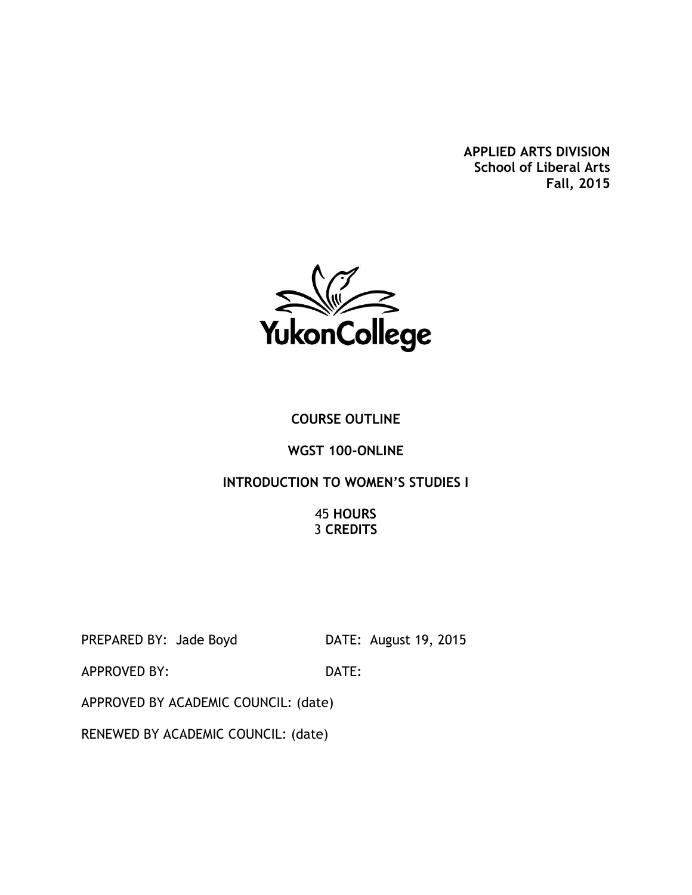**APPLIED ARTS DIVISION School of Liberal Arts Fall, 2015**



## **COURSE OUTLINE**

#### **WGST 100-ONLINE**

### **INTRODUCTION TO WOMEN'S STUDIES I**

45 **HOURS** 3 **CREDITS**

PREPARED BY: Jade Boyd DATE: August 19, 2015

APPROVED BY: DATE:

APPROVED BY ACADEMIC COUNCIL: (date)

RENEWED BY ACADEMIC COUNCIL: (date)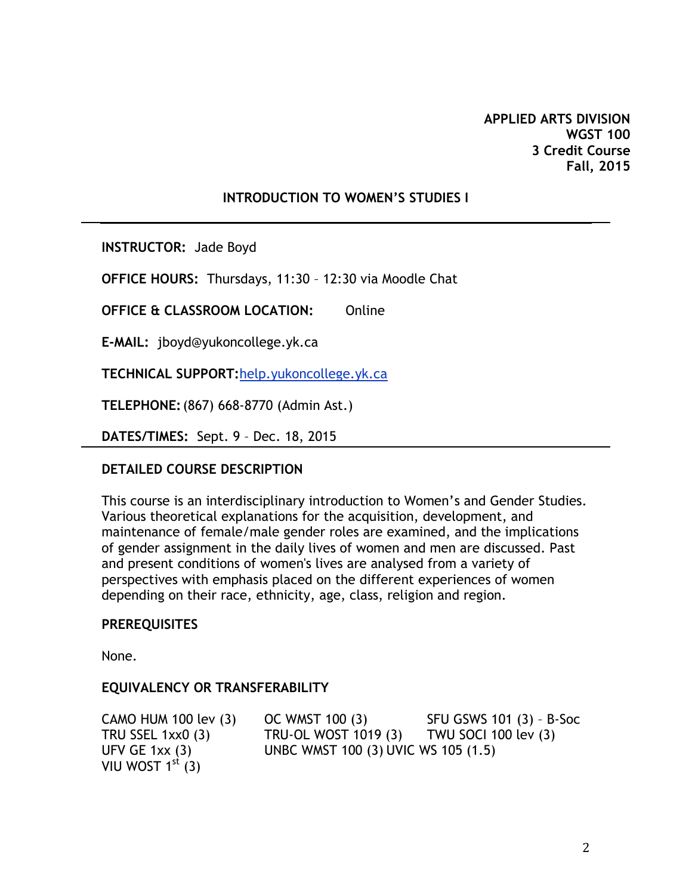## **INTRODUCTION TO WOMEN'S STUDIES I**

**INSTRUCTOR:** Jade Boyd

**OFFICE HOURS:** Thursdays, 11:30 – 12:30 via Moodle Chat

**OFFICE & CLASSROOM LOCATION:** Online

**E-MAIL:** jboyd@yukoncollege.yk.ca

**TECHNICAL SUPPORT:**help.yukoncollege.yk.ca

**TELEPHONE:**(867) 668-8770 (Admin Ast.)

**DATES/TIMES:** Sept. 9 – Dec. 18, 2015

### **DETAILED COURSE DESCRIPTION**

This course is an interdisciplinary introduction to Women's and Gender Studies. Various theoretical explanations for the acquisition, development, and maintenance of female/male gender roles are examined, and the implications of gender assignment in the daily lives of women and men are discussed. Past and present conditions of women's lives are analysed from a variety of perspectives with emphasis placed on the different experiences of women depending on their race, ethnicity, age, class, religion and region.

### **PREREQUISITES**

None.

### **EQUIVALENCY OR TRANSFERABILITY**

VIU WOST  $1<sup>st</sup>$  (3)

CAMO HUM 100 lev  $(3)$  OC WMST 100  $(3)$  SFU GSWS 101  $(3)$  - B-Soc TRU SSEL 1xx0 (3) TRU-OL WOST 1019 (3) TWU SOCI 100 lev (3) UFV GE 1xx (3) UNBC WMST 100 (3) UVIC WS 105 (1.5)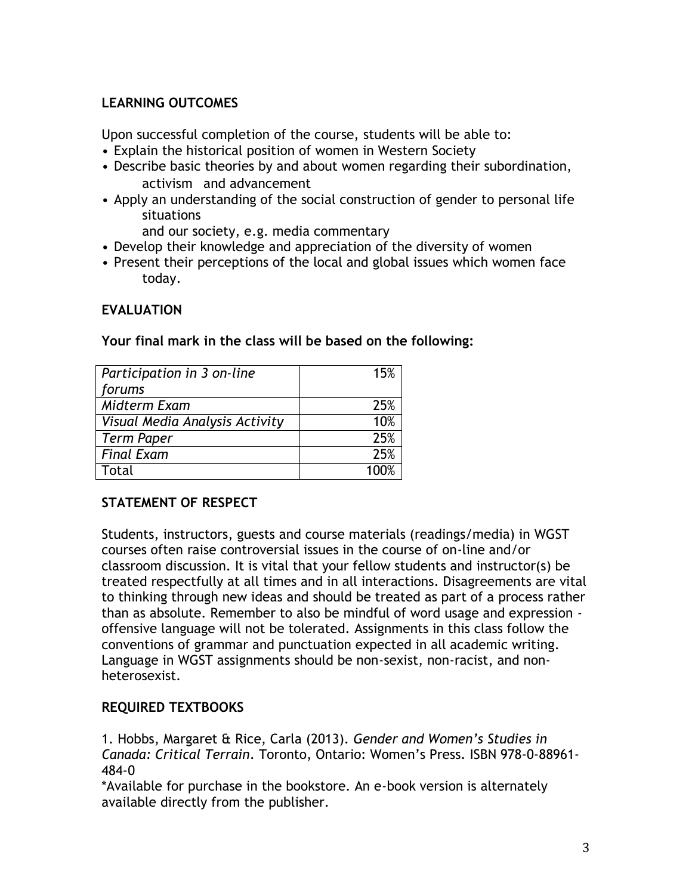## **LEARNING OUTCOMES**

Upon successful completion of the course, students will be able to:

- Explain the historical position of women in Western Society
- Describe basic theories by and about women regarding their subordination, activism and advancement
- Apply an understanding of the social construction of gender to personal life situations
	- and our society, e.g. media commentary
- Develop their knowledge and appreciation of the diversity of women
- Present their perceptions of the local and global issues which women face today.

## **EVALUATION**

| Participation in 3 on-line     | 15%  |
|--------------------------------|------|
| forums                         |      |
| Midterm Exam                   | 25%  |
| Visual Media Analysis Activity | 10%  |
| Term Paper                     | 25%  |
| <b>Final Exam</b>              | 25%  |
| Total                          | 100% |

**Your final mark in the class will be based on the following:** 

### **STATEMENT OF RESPECT**

Students, instructors, guests and course materials (readings/media) in WGST courses often raise controversial issues in the course of on-line and/or classroom discussion. It is vital that your fellow students and instructor(s) be treated respectfully at all times and in all interactions. Disagreements are vital to thinking through new ideas and should be treated as part of a process rather than as absolute. Remember to also be mindful of word usage and expression offensive language will not be tolerated. Assignments in this class follow the conventions of grammar and punctuation expected in all academic writing. Language in WGST assignments should be non-sexist, non-racist, and nonheterosexist.

## **REQUIRED TEXTBOOKS**

1. Hobbs, Margaret & Rice, Carla (2013). *Gender and Women's Studies in Canada: Critical Terrain*. Toronto, Ontario: Women's Press. ISBN 978-0-88961- 484-0

\*Available for purchase in the bookstore. An e-book version is alternately available directly from the publisher.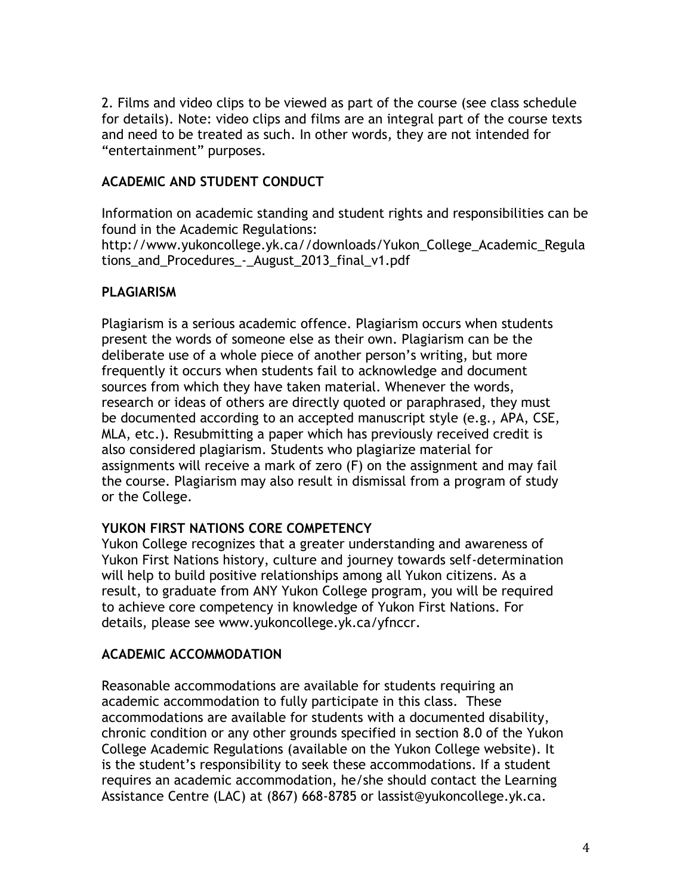2. Films and video clips to be viewed as part of the course (see class schedule for details). Note: video clips and films are an integral part of the course texts and need to be treated as such. In other words, they are not intended for "entertainment" purposes.

## **ACADEMIC AND STUDENT CONDUCT**

Information on academic standing and student rights and responsibilities can be found in the Academic Regulations:

http://www.yukoncollege.yk.ca//downloads/Yukon\_College\_Academic\_Regula tions\_and\_Procedures\_-\_August\_2013\_final\_v1.pdf

## **PLAGIARISM**

Plagiarism is a serious academic offence. Plagiarism occurs when students present the words of someone else as their own. Plagiarism can be the deliberate use of a whole piece of another person's writing, but more frequently it occurs when students fail to acknowledge and document sources from which they have taken material. Whenever the words, research or ideas of others are directly quoted or paraphrased, they must be documented according to an accepted manuscript style (e.g., APA, CSE, MLA, etc.). Resubmitting a paper which has previously received credit is also considered plagiarism. Students who plagiarize material for assignments will receive a mark of zero (F) on the assignment and may fail the course. Plagiarism may also result in dismissal from a program of study or the College.

## **YUKON FIRST NATIONS CORE COMPETENCY**

Yukon College recognizes that a greater understanding and awareness of Yukon First Nations history, culture and journey towards self-determination will help to build positive relationships among all Yukon citizens. As a result, to graduate from ANY Yukon College program, you will be required to achieve core competency in knowledge of Yukon First Nations. For details, please see [www.yukoncollege.yk.ca/yfnccr.](http://www.yukoncollege.yk.ca/yfnccr)

## **ACADEMIC ACCOMMODATION**

Reasonable accommodations are available for students requiring an academic accommodation to fully participate in this class. These accommodations are available for students with a documented disability, chronic condition or any other grounds specified in section 8.0 of the Yukon College Academic Regulations (available on the Yukon College website). It is the student's responsibility to seek these accommodations. If a student requires an academic accommodation, he/she should contact the Learning Assistance Centre (LAC) at (867) 668-8785 or lassist@yukoncollege.yk.ca.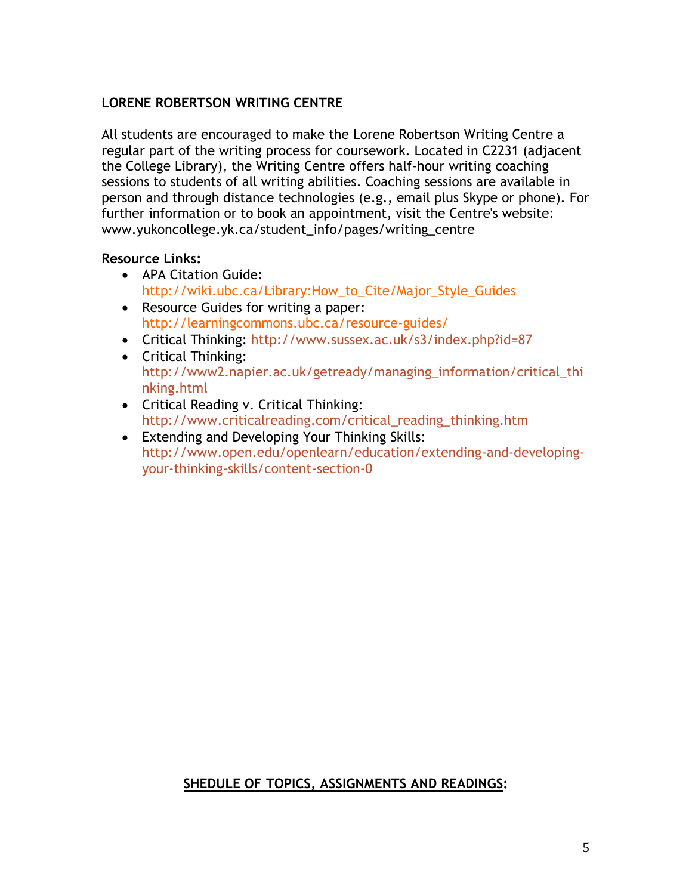## **LORENE ROBERTSON WRITING CENTRE**

All students are encouraged to make the Lorene Robertson Writing Centre a regular part of the writing process for coursework. Located in C2231 (adjacent the College Library), the Writing Centre offers half-hour writing coaching sessions to students of all writing abilities. Coaching sessions are available in person and through distance technologies (e.g., email plus Skype or phone). For further information or to book an appointment, visit the Centre's website: www.yukoncollege.yk.ca/student\_info/pages/writing\_centre

### **Resource Links:**

- APA Citation Guide: http://wiki.ubc.ca/Library:How\_to\_Cite/Major\_Style\_Guides
- Resource Guides for writing a paper: http://learningcommons.ubc.ca/resource-guides/
- Critical Thinking:<http://www.sussex.ac.uk/s3/index.php?id=87>
- Critical Thinking: [http://www2.napier.ac.uk/getready/managing\\_information/critical\\_thi](http://www2.napier.ac.uk/getready/managing_information/critical_thinking.html) [nking.html](http://www2.napier.ac.uk/getready/managing_information/critical_thinking.html)
- Critical Reading v. Critical Thinking: [http://www.criticalreading.com/critical\\_reading\\_thinking.htm](http://www.criticalreading.com/critical_reading_thinking.htm)
- Extending and Developing Your Thinking Skills: [http://www.open.edu/openlearn/education/extending-and-developing](http://www.open.edu/openlearn/education/extending-and-developing-your-thinking-skills/content-section-0)[your-thinking-skills/content-section-0](http://www.open.edu/openlearn/education/extending-and-developing-your-thinking-skills/content-section-0)

# **SHEDULE OF TOPICS, ASSIGNMENTS AND READINGS:**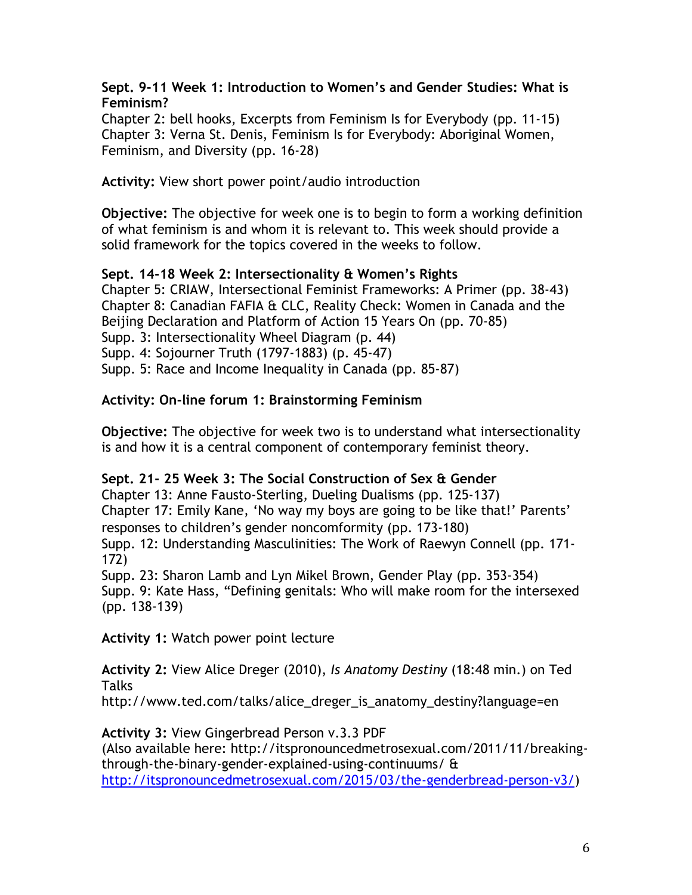**Sept. 9-11 Week 1: Introduction to Women's and Gender Studies: What is Feminism?** 

Chapter 2: bell hooks, Excerpts from Feminism Is for Everybody (pp. 11-15) Chapter 3: Verna St. Denis, Feminism Is for Everybody: Aboriginal Women, Feminism, and Diversity (pp. 16-28)

**Activity:** View short power point/audio introduction

**Objective:** The objective for week one is to begin to form a working definition of what feminism is and whom it is relevant to. This week should provide a solid framework for the topics covered in the weeks to follow.

## **Sept. 14-18 Week 2: Intersectionality & Women's Rights**

Chapter 5: CRIAW, Intersectional Feminist Frameworks: A Primer (pp. 38-43) Chapter 8: Canadian FAFIA & CLC, Reality Check: Women in Canada and the Beijing Declaration and Platform of Action 15 Years On (pp. 70-85) Supp. 3: Intersectionality Wheel Diagram (p. 44) Supp. 4: Sojourner Truth (1797-1883) (p. 45-47) Supp. 5: Race and Income Inequality in Canada (pp. 85-87)

### **Activity: On-line forum 1: Brainstorming Feminism**

**Objective:** The objective for week two is to understand what intersectionality is and how it is a central component of contemporary feminist theory.

### **Sept. 21- 25 Week 3: The Social Construction of Sex & Gender**

Chapter 13: Anne Fausto-Sterling, Dueling Dualisms (pp. 125-137) Chapter 17: Emily Kane, 'No way my boys are going to be like that!' Parents' responses to children's gender noncomformity (pp. 173-180)

Supp. 12: Understanding Masculinities: The Work of Raewyn Connell (pp. 171- 172)

Supp. 23: Sharon Lamb and Lyn Mikel Brown, Gender Play (pp. 353-354) Supp. 9: Kate Hass, "Defining genitals: Who will make room for the intersexed (pp. 138-139)

**Activity 1:** Watch power point lecture

**Activity 2:** View Alice Dreger (2010), *Is Anatomy Destiny* (18:48 min.) on Ted Talks

http://www.ted.com/talks/alice\_dreger\_is\_anatomy\_destiny?language=en

## **Activity 3:** View Gingerbread Person v.3.3 PDF

(Also available here: http://itspronouncedmetrosexual.com/2011/11/breakingthrough-the-binary-gender-explained-using-continuums/ & [http://itspronouncedmetrosexual.com/2015/03/the-genderbread-person-v3/\)](http://itspronouncedmetrosexual.com/2015/03/the-genderbread-person-v3/)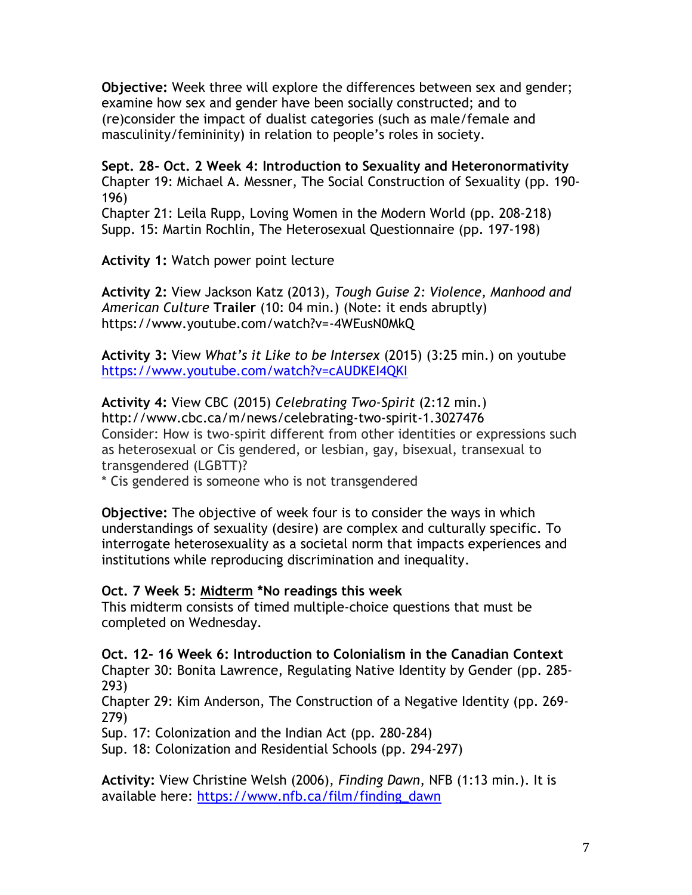**Objective:** Week three will explore the differences between sex and gender; examine how sex and gender have been socially constructed; and to (re)consider the impact of dualist categories (such as male/female and masculinity/femininity) in relation to people's roles in society.

**Sept. 28- Oct. 2 Week 4: Introduction to Sexuality and Heteronormativity** Chapter 19: Michael A. Messner, The Social Construction of Sexuality (pp. 190- 196)

Chapter 21: Leila Rupp, Loving Women in the Modern World (pp. 208-218) Supp. 15: Martin Rochlin, The Heterosexual Questionnaire (pp. 197-198)

**Activity 1:** Watch power point lecture

**Activity 2:** View Jackson Katz (2013), *Tough Guise 2: Violence, Manhood and American Culture* **Trailer** (10: 04 min.) (Note: it ends abruptly) https://www.youtube.com/watch?v=-4WEusN0MkQ

**Activity 3:** View *What's it Like to be Intersex* (2015) (3:25 min.) on youtube <https://www.youtube.com/watch?v=cAUDKEI4QKI>

**Activity 4:** View CBC (2015) *Celebrating Two-Spirit* (2:12 min.) http://www.cbc.ca/m/news/celebrating-two-spirit-1.3027476 Consider: How is two-spirit different from other identities or expressions such as heterosexual or Cis gendered, or lesbian, gay, bisexual, transexual to transgendered (LGBTT)?

\* Cis gendered is someone who is not transgendered

**Objective:** The objective of week four is to consider the ways in which understandings of sexuality (desire) are complex and culturally specific. To interrogate heterosexuality as a societal norm that impacts experiences and institutions while reproducing discrimination and inequality.

### **Oct. 7 Week 5: Midterm \*No readings this week**

This midterm consists of timed multiple-choice questions that must be completed on Wednesday.

**Oct. 12- 16 Week 6: Introduction to Colonialism in the Canadian Context** Chapter 30: Bonita Lawrence, Regulating Native Identity by Gender (pp. 285- 293)

Chapter 29: Kim Anderson, The Construction of a Negative Identity (pp. 269- 279)

Sup. 17: Colonization and the Indian Act (pp. 280-284)

Sup. 18: Colonization and Residential Schools (pp. 294-297)

**Activity:** View Christine Welsh (2006), *Finding Dawn*, NFB (1:13 min.). It is available here: [https://www.nfb.ca/film/finding\\_dawn](https://www.nfb.ca/film/finding_dawn)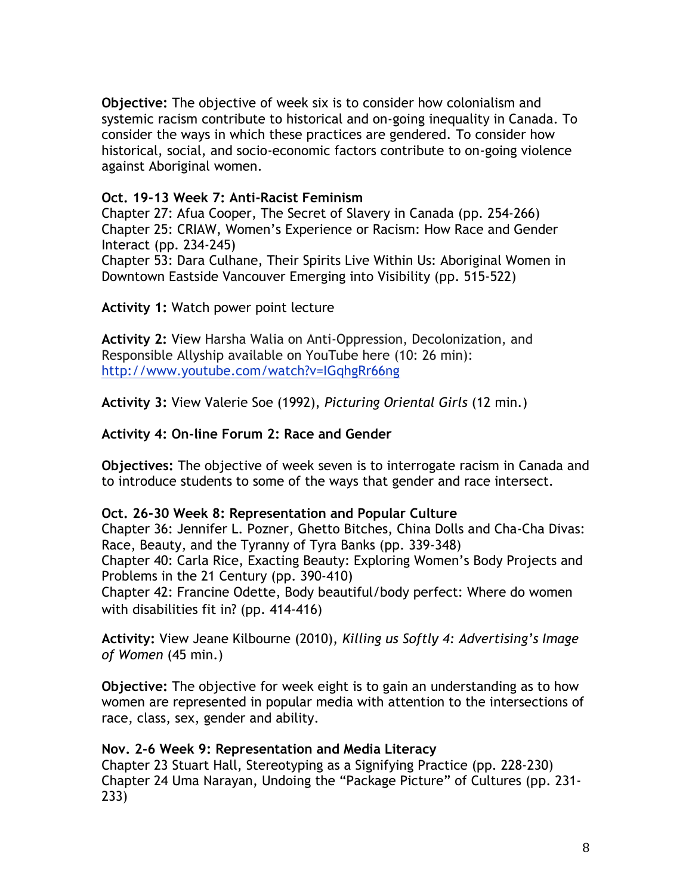**Objective:** The objective of week six is to consider how colonialism and systemic racism contribute to historical and on-going inequality in Canada. To consider the ways in which these practices are gendered. To consider how historical, social, and socio-economic factors contribute to on-going violence against Aboriginal women.

### **Oct. 19-13 Week 7: Anti-Racist Feminism**

Chapter 27: Afua Cooper, The Secret of Slavery in Canada (pp. 254-266) Chapter 25: CRIAW, Women's Experience or Racism: How Race and Gender Interact (pp. 234-245)

Chapter 53: Dara Culhane, Their Spirits Live Within Us: Aboriginal Women in Downtown Eastside Vancouver Emerging into Visibility (pp. 515-522)

**Activity 1:** Watch power point lecture

**Activity 2:** View Harsha Walia on Anti-Oppression, Decolonization, and Responsible Allyship available on YouTube here (10: 26 min): <http://www.youtube.com/watch?v=IGqhgRr66ng>

**Activity 3:** View Valerie Soe (1992), *Picturing Oriental Girls* (12 min.)

### **Activity 4: On-line Forum 2: Race and Gender**

**Objectives:** The objective of week seven is to interrogate racism in Canada and to introduce students to some of the ways that gender and race intersect.

### **Oct. 26-30 Week 8: Representation and Popular Culture**

Chapter 36: Jennifer L. Pozner, Ghetto Bitches, China Dolls and Cha-Cha Divas: Race, Beauty, and the Tyranny of Tyra Banks (pp. 339-348) Chapter 40: Carla Rice, Exacting Beauty: Exploring Women's Body Projects and Problems in the 21 Century (pp. 390-410) Chapter 42: Francine Odette, Body beautiful/body perfect: Where do women

with disabilities fit in? (pp. 414-416)

**Activity:** View Jeane Kilbourne (2010), *Killing us Softly 4: Advertising's Image of Women* (45 min.)

**Objective:** The objective for week eight is to gain an understanding as to how women are represented in popular media with attention to the intersections of race, class, sex, gender and ability.

### **Nov. 2-6 Week 9: Representation and Media Literacy**

Chapter 23 Stuart Hall, Stereotyping as a Signifying Practice (pp. 228-230) Chapter 24 Uma Narayan, Undoing the "Package Picture" of Cultures (pp. 231- 233)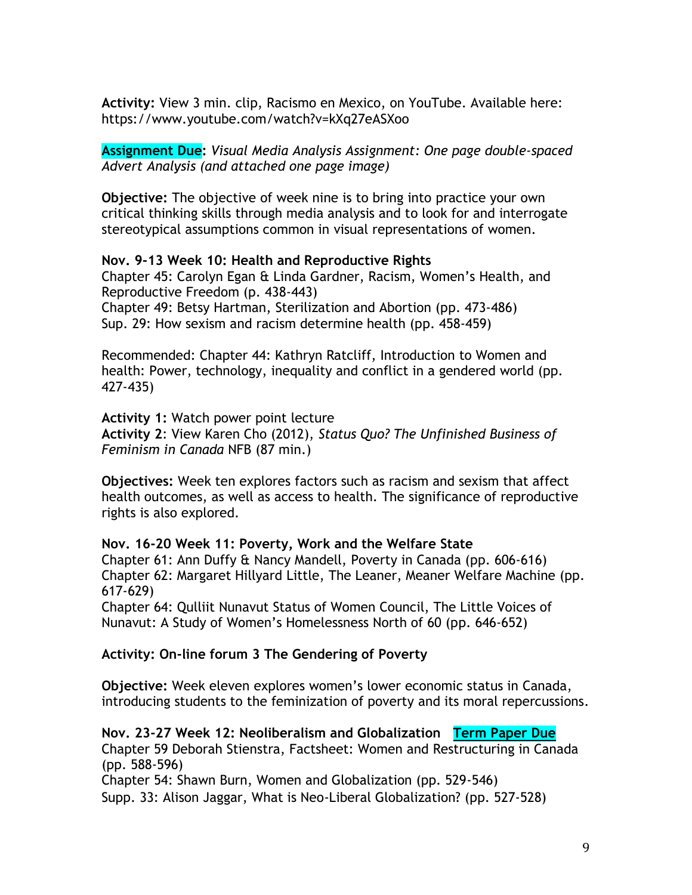**Activity:** View 3 min. clip, Racismo en Mexico, on YouTube. Available here: https://www.youtube.com/watch?v=kXq27eASXoo

**Assignment Due:** *Visual Media Analysis Assignment: One page double-spaced Advert Analysis (and attached one page image)*

**Objective:** The objective of week nine is to bring into practice your own critical thinking skills through media analysis and to look for and interrogate stereotypical assumptions common in visual representations of women.

#### **Nov. 9-13 Week 10: Health and Reproductive Rights**

Chapter 45: Carolyn Egan & Linda Gardner, Racism, Women's Health, and Reproductive Freedom (p. 438-443) Chapter 49: Betsy Hartman, Sterilization and Abortion (pp. 473-486) Sup. 29: How sexism and racism determine health (pp. 458-459)

Recommended: Chapter 44: Kathryn Ratcliff, Introduction to Women and health: Power, technology, inequality and conflict in a gendered world (pp. 427-435)

**Activity 1:** Watch power point lecture **Activity 2**: View Karen Cho (2012), *Status Quo? The Unfinished Business of Feminism in Canada* NFB (87 min.)

**Objectives:** Week ten explores factors such as racism and sexism that affect health outcomes, as well as access to health. The significance of reproductive rights is also explored.

# **Nov. 16-20 Week 11: Poverty, Work and the Welfare State**  Chapter 61: Ann Duffy & Nancy Mandell, Poverty in Canada (pp. 606-616)

Chapter 62: Margaret Hillyard Little, The Leaner, Meaner Welfare Machine (pp. 617-629)

Chapter 64: Qulliit Nunavut Status of Women Council, The Little Voices of Nunavut: A Study of Women's Homelessness North of 60 (pp. 646-652)

### **Activity: On-line forum 3 The Gendering of Poverty**

**Objective:** Week eleven explores women's lower economic status in Canada, introducing students to the feminization of poverty and its moral repercussions.

**Nov. 23-27 Week 12: Neoliberalism and Globalization Term Paper Due** Chapter 59 Deborah Stienstra, Factsheet: Women and Restructuring in Canada (pp. 588-596)

Chapter 54: Shawn Burn, Women and Globalization (pp. 529-546) Supp. 33: Alison Jaggar, What is Neo-Liberal Globalization? (pp. 527-528)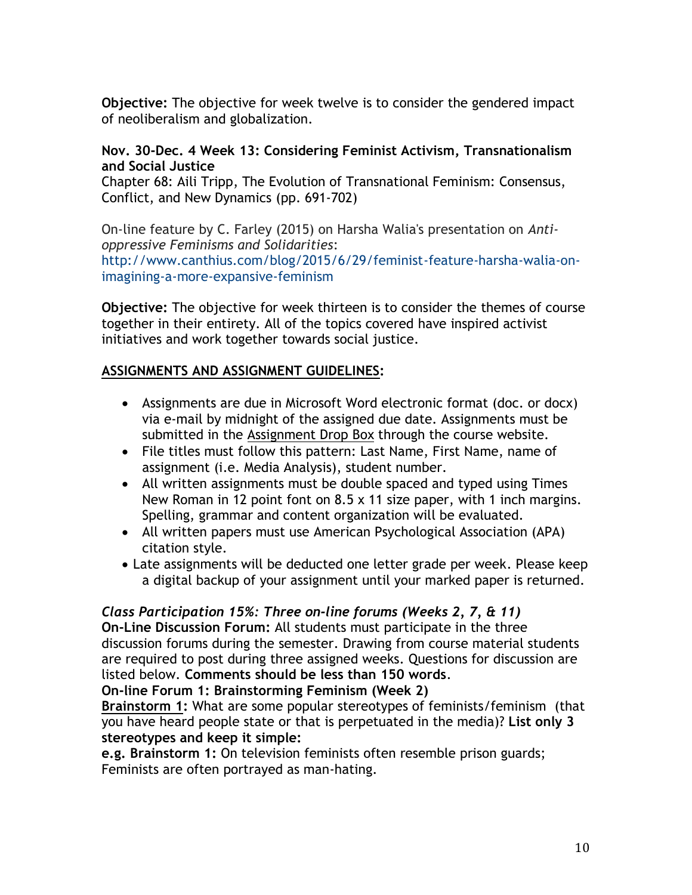**Objective:** The objective for week twelve is to consider the gendered impact of neoliberalism and globalization.

## **Nov. 30-Dec. 4 Week 13: Considering Feminist Activism, Transnationalism and Social Justice**

Chapter 68: Aili Tripp, The Evolution of Transnational Feminism: Consensus, Conflict, and New Dynamics (pp. 691-702)

On-line feature by C. Farley (2015) on Harsha Walia's presentation on *Antioppressive Feminisms and Solidarities*: [http://www.canthius.com/blog/2015/6/29/feminist-feature-harsha-walia-on](http://www.canthius.com/blog/2015/6/29/feminist-feature-harsha-walia-on-imagining-a-more-expansive-feminism)[imagining-a-more-expansive-feminism](http://www.canthius.com/blog/2015/6/29/feminist-feature-harsha-walia-on-imagining-a-more-expansive-feminism)

**Objective:** The objective for week thirteen is to consider the themes of course together in their entirety. All of the topics covered have inspired activist initiatives and work together towards social justice.

### **ASSIGNMENTS AND ASSIGNMENT GUIDELINES:**

- Assignments are due in Microsoft Word electronic format (doc. or docx) via e-mail by midnight of the assigned due date. Assignments must be submitted in the Assignment Drop Box through the course website.
- File titles must follow this pattern: Last Name, First Name, name of assignment (i.e. Media Analysis), student number.
- All written assignments must be double spaced and typed using Times New Roman in 12 point font on 8.5 x 11 size paper, with 1 inch margins. Spelling, grammar and content organization will be evaluated.
- All written papers must use American Psychological Association (APA) citation style.
- Late assignments will be deducted one letter grade per week. Please keep a digital backup of your assignment until your marked paper is returned.

### *Class Participation 15%: Three on-line forums (Weeks 2, 7, & 11)*

**On-Line Discussion Forum:** All students must participate in the three discussion forums during the semester. Drawing from course material students are required to post during three assigned weeks. Questions for discussion are listed below. **Comments should be less than 150 words**.

**On-line Forum 1: Brainstorming Feminism (Week 2)**

**Brainstorm 1:** What are some popular stereotypes of feminists/feminism (that you have heard people state or that is perpetuated in the media)? **List only 3 stereotypes and keep it simple:** 

**e.g. Brainstorm 1:** On television feminists often resemble prison guards; Feminists are often portrayed as man-hating.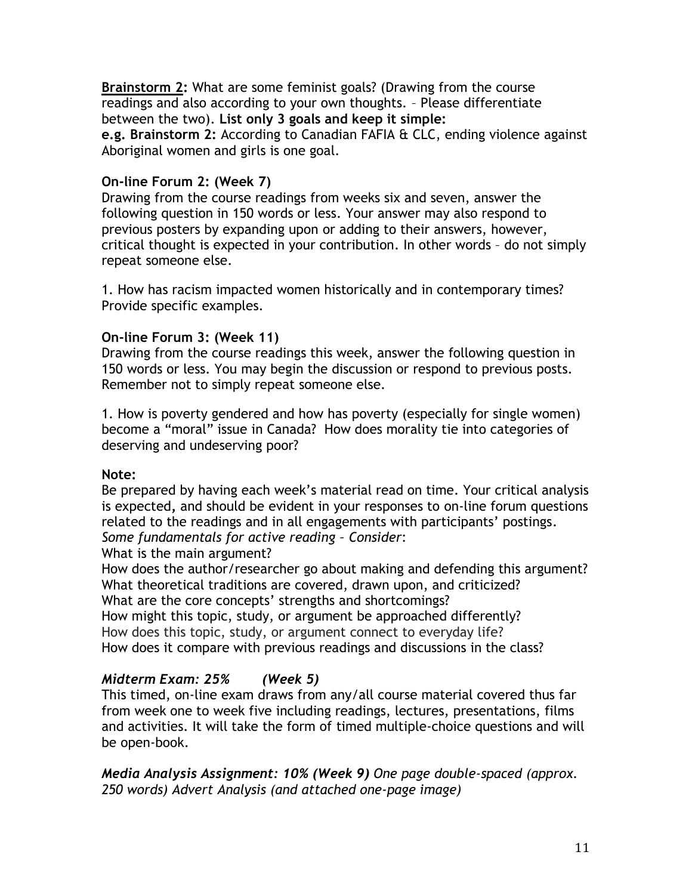**Brainstorm 2:** What are some feminist goals? (Drawing from the course readings and also according to your own thoughts. – Please differentiate between the two). **List only 3 goals and keep it simple:** 

**e.g. Brainstorm 2:** According to Canadian FAFIA & CLC, ending violence against Aboriginal women and girls is one goal.

## **On-line Forum 2: (Week 7)**

Drawing from the course readings from weeks six and seven, answer the following question in 150 words or less. Your answer may also respond to previous posters by expanding upon or adding to their answers, however, critical thought is expected in your contribution. In other words – do not simply repeat someone else.

1. How has racism impacted women historically and in contemporary times? Provide specific examples.

### **On-line Forum 3: (Week 11)**

Drawing from the course readings this week, answer the following question in 150 words or less. You may begin the discussion or respond to previous posts. Remember not to simply repeat someone else.

1. How is poverty gendered and how has poverty (especially for single women) become a "moral" issue in Canada? How does morality tie into categories of deserving and undeserving poor?

### **Note:**

Be prepared by having each week's material read on time. Your critical analysis is expected**,** and should be evident in your responses to on-line forum questions related to the readings and in all engagements with participants' postings. *Some fundamentals for active reading – Consider*:

What is the main argument?

How does the author/researcher go about making and defending this argument? What theoretical traditions are covered, drawn upon, and criticized? What are the core concepts' strengths and shortcomings?

How might this topic, study, or argument be approached differently? How does this topic, study, or argument connect to everyday life?

How does it compare with previous readings and discussions in the class?

## *Midterm Exam: 25% (Week 5)*

This timed, on-line exam draws from any/all course material covered thus far from week one to week five including readings, lectures, presentations, films and activities. It will take the form of timed multiple-choice questions and will be open-book.

*Media Analysis Assignment: 10% (Week 9) One page double-spaced (approx. 250 words) Advert Analysis (and attached one-page image)*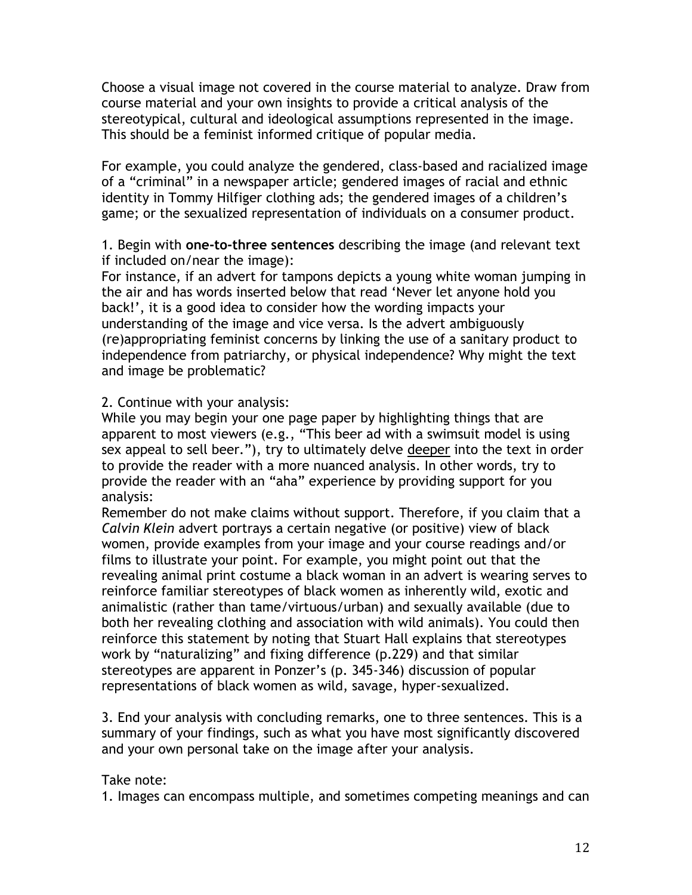Choose a visual image not covered in the course material to analyze. Draw from course material and your own insights to provide a critical analysis of the stereotypical, cultural and ideological assumptions represented in the image. This should be a feminist informed critique of popular media.

For example, you could analyze the gendered, class-based and racialized image of a "criminal" in a newspaper article; gendered images of racial and ethnic identity in Tommy Hilfiger clothing ads; the gendered images of a children's game; or the sexualized representation of individuals on a consumer product.

1. Begin with **one-to-three sentences** describing the image (and relevant text if included on/near the image):

For instance, if an advert for tampons depicts a young white woman jumping in the air and has words inserted below that read 'Never let anyone hold you back!', it is a good idea to consider how the wording impacts your understanding of the image and vice versa. Is the advert ambiguously (re)appropriating feminist concerns by linking the use of a sanitary product to independence from patriarchy, or physical independence? Why might the text and image be problematic?

### 2. Continue with your analysis:

While you may begin your one page paper by highlighting things that are apparent to most viewers (e.g., "This beer ad with a swimsuit model is using sex appeal to sell beer."), try to ultimately delve deeper into the text in order to provide the reader with a more nuanced analysis. In other words, try to provide the reader with an "aha" experience by providing support for you analysis:

Remember do not make claims without support. Therefore, if you claim that a *Calvin Klein* advert portrays a certain negative (or positive) view of black women, provide examples from your image and your course readings and/or films to illustrate your point. For example, you might point out that the revealing animal print costume a black woman in an advert is wearing serves to reinforce familiar stereotypes of black women as inherently wild, exotic and animalistic (rather than tame/virtuous/urban) and sexually available (due to both her revealing clothing and association with wild animals). You could then reinforce this statement by noting that Stuart Hall explains that stereotypes work by "naturalizing" and fixing difference (p.229) and that similar stereotypes are apparent in Ponzer's (p. 345-346) discussion of popular representations of black women as wild, savage, hyper-sexualized.

3. End your analysis with concluding remarks, one to three sentences. This is a summary of your findings, such as what you have most significantly discovered and your own personal take on the image after your analysis.

### Take note:

1. Images can encompass multiple, and sometimes competing meanings and can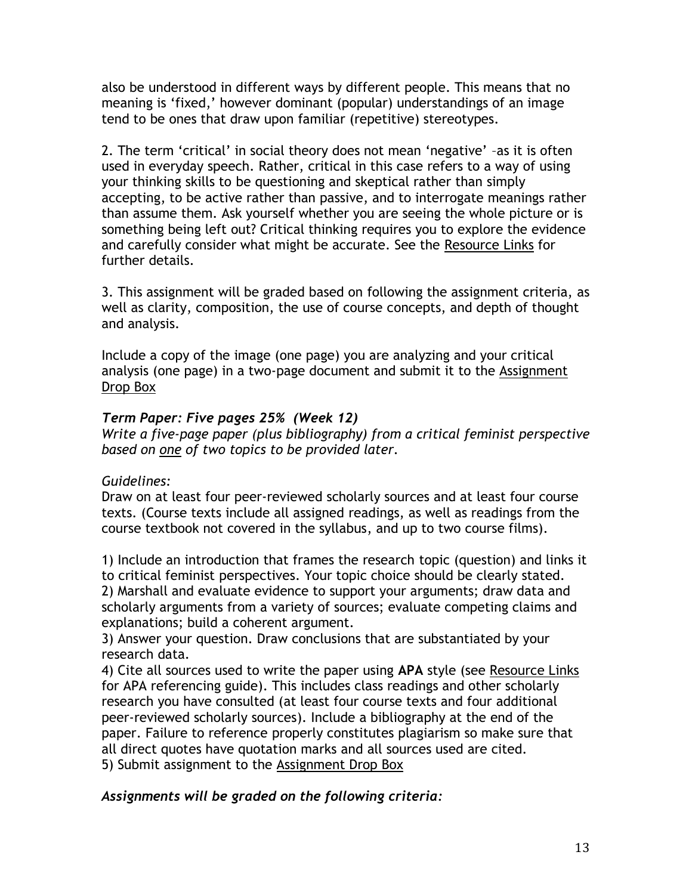also be understood in different ways by different people. This means that no meaning is 'fixed,' however dominant (popular) understandings of an image tend to be ones that draw upon familiar (repetitive) stereotypes.

2. The term 'critical' in social theory does not mean 'negative' –as it is often used in everyday speech. Rather, critical in this case refers to a way of using your thinking skills to be questioning and skeptical rather than simply accepting, to be active rather than passive, and to interrogate meanings rather than assume them. Ask yourself whether you are seeing the whole picture or is something being left out? Critical thinking requires you to explore the evidence and carefully consider what might be accurate. See the Resource Links for further details.

3. This assignment will be graded based on following the assignment criteria, as well as clarity, composition, the use of course concepts, and depth of thought and analysis.

Include a copy of the image (one page) you are analyzing and your critical analysis (one page) in a two-page document and submit it to the Assignment Drop Box

## *Term Paper: Five pages 25% (Week 12)*

*Write a five-page paper (plus bibliography) from a critical feminist perspective based on one of two topics to be provided later.*

## *Guidelines:*

Draw on at least four peer-reviewed scholarly sources and at least four course texts. (Course texts include all assigned readings, as well as readings from the course textbook not covered in the syllabus, and up to two course films).

1) Include an introduction that frames the research topic (question) and links it to critical feminist perspectives. Your topic choice should be clearly stated. 2) Marshall and evaluate evidence to support your arguments; draw data and scholarly arguments from a variety of sources; evaluate competing claims and explanations; build a coherent argument.

3) Answer your question. Draw conclusions that are substantiated by your research data.

4) Cite all sources used to write the paper using **APA** style (see Resource Links for APA referencing guide). This includes class readings and other scholarly research you have consulted (at least four course texts and four additional peer-reviewed scholarly sources). Include a bibliography at the end of the paper. Failure to reference properly constitutes plagiarism so make sure that all direct quotes have quotation marks and all sources used are cited. 5) Submit assignment to the Assignment Drop Box

## *Assignments will be graded on the following criteria:*